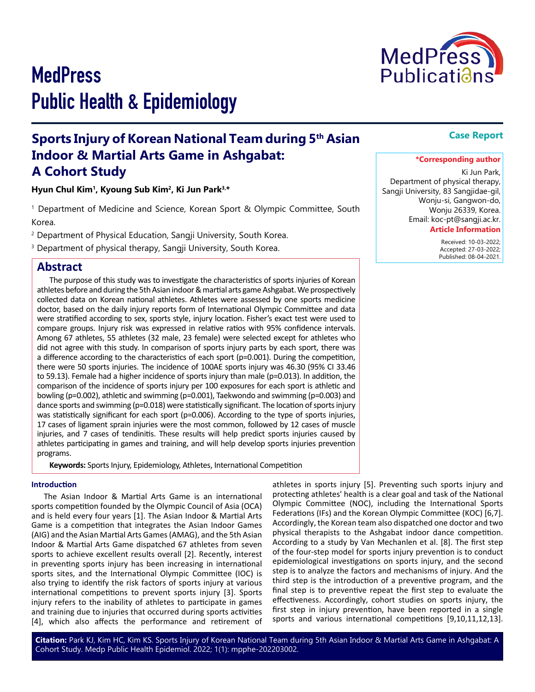# **MedPress** Public Health & Epidemiology

## **Sports Injury of Korean National Team during 5th Asian Indoor & Martial Arts Game in Ashgabat: A Cohort Study**

**Hyun Chul Kim1, Kyoung Sub Kim2, Ki Jun Park3,\***

1 Department of Medicine and Science, Korean Sport & Olympic Committee, South Korea.

<sup>2</sup> Department of Physical Education, Sangji University, South Korea.

<sup>3</sup> Department of physical therapy, Sangji University, South Korea.

## **Abstract**

The purpose of this study was to investigate the characteristics of sports injuries of Korean athletes before and during the 5th Asian indoor & martial arts game Ashgabat. We prospectively collected data on Korean national athletes. Athletes were assessed by one sports medicine doctor, based on the daily injury reports form of International Olympic Committee and data were stratified according to sex, sports style, injury location. Fisher's exact test were used to compare groups. Injury risk was expressed in relative ratios with 95% confidence intervals. Among 67 athletes, 55 athletes (32 male, 23 female) were selected except for athletes who did not agree with this study. In comparison of sports injury parts by each sport, there was a difference according to the characteristics of each sport (p=0.001). During the competition, there were 50 sports injuries. The incidence of 100AE sports injury was 46.30 (95% CI 33.46 to 59.13). Female had a higher incidence of sports injury than male (p=0.013). In addition, the comparison of the incidence of sports injury per 100 exposures for each sport is athletic and bowling (p=0.002), athletic and swimming (p=0.001), Taekwondo and swimming (p=0.003) and dance sports and swimming (p=0.018) were statistically significant. The location of sports injury was statistically significant for each sport (p=0.006). According to the type of sports injuries, 17 cases of ligament sprain injuries were the most common, followed by 12 cases of muscle injuries, and 7 cases of tendinitis. These results will help predict sports injuries caused by athletes participating in games and training, and will help develop sports injuries prevention programs.

**Keywords:** Sports Injury, Epidemiology, Athletes, International Competition

#### **Introduction**

The Asian Indoor & Martial Arts Game is an international sports competition founded by the Olympic Council of Asia (OCA) and is held every four years [1]. The Asian Indoor & Martial Arts Game is a competition that integrates the Asian Indoor Games (AIG) and the Asian Martial Arts Games (AMAG), and the 5th Asian Indoor & Martial Arts Game dispatched 67 athletes from seven sports to achieve excellent results overall [2]. Recently, interest in preventing sports injury has been increasing in international sports sites, and the International Olympic Committee (IOC) is also trying to identify the risk factors of sports injury at various international competitions to prevent sports injury [3]. Sports injury refers to the inability of athletes to participate in games and training due to injuries that occurred during sports activities [4], which also affects the performance and retirement of

athletes in sports injury [5]. Preventing such sports injury and protecting athletes' health is a clear goal and task of the National Olympic Committee (NOC), including the International Sports Federations (IFs) and the Korean Olympic Committee (KOC) [6,7]. Accordingly, the Korean team also dispatched one doctor and two physical therapists to the Ashgabat indoor dance competition. According to a study by Van Mechanlen et al. [8]. The first step of the four-step model for sports injury prevention is to conduct epidemiological investigations on sports injury, and the second step is to analyze the factors and mechanisms of injury. And the third step is the introduction of a preventive program, and the final step is to preventive repeat the first step to evaluate the effectiveness. Accordingly, cohort studies on sports injury, the first step in injury prevention, have been reported in a single sports and various international competitions [9,10,11,12,13].

Ki Jun Park, Department of physical therapy, Sangji University, 83 Sangjidae-gil, Wonju-si, Gangwon-do, Wonju 26339, Korea. Email: koc-pt@sangji.ac.kr.

#### **Article Information**

 Received: 10-03-2022; Accepted: 27-03-2022; Published: 08-04-2021.



### **\*Corresponding author**

**Case Report**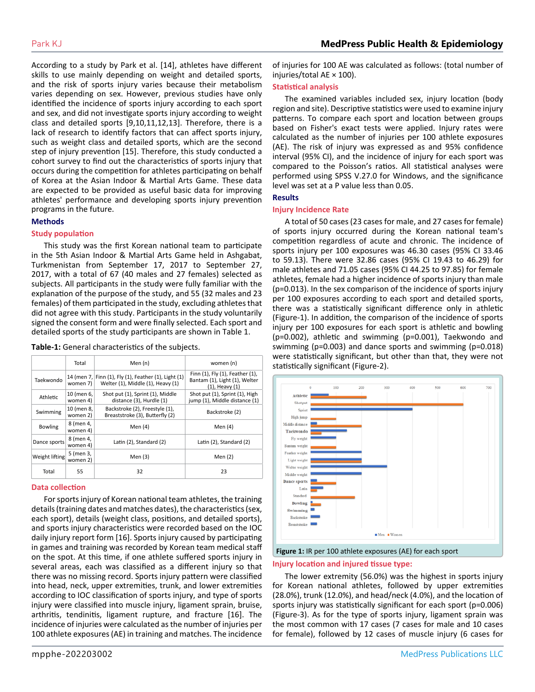According to a study by Park et al. [14], athletes have different skills to use mainly depending on weight and detailed sports, and the risk of sports injury varies because their metabolism varies depending on sex. However, previous studies have only identified the incidence of sports injury according to each sport and sex, and did not investigate sports injury according to weight class and detailed sports [9,10,11,12,13]. Therefore, there is a lack of research to identify factors that can affect sports injury, such as weight class and detailed sports, which are the second step of injury prevention [15]. Therefore, this study conducted a cohort survey to find out the characteristics of sports injury that occurs during the competition for athletes participating on behalf of Korea at the Asian Indoor & Martial Arts Game. These data are expected to be provided as useful basic data for improving athletes' performance and developing sports injury prevention programs in the future.

#### **Methods**

#### **Study population**

This study was the first Korean national team to participate in the 5th Asian Indoor & Martial Arts Game held in Ashgabat, Turkmenistan from September 17, 2017 to September 27, 2017, with a total of 67 (40 males and 27 females) selected as subjects. All participants in the study were fully familiar with the explanation of the purpose of the study, and 55 (32 males and 23 females) of them participated in the study, excluding athletes that did not agree with this study. Participants in the study voluntarily signed the consent form and were finally selected. Each sport and detailed sports of the study participants are shown in Table 1.

**Table-1:** General characteristics of the subjects.

|                 | Total                  | Men $(n)$                                                                                 | women (n)                                                                               |
|-----------------|------------------------|-------------------------------------------------------------------------------------------|-----------------------------------------------------------------------------------------|
| Taekwondo       | women 7)               | 14 (men 7, Finn (1), Fly (1), Feather (1), Light (1)<br>Welter (1), Middle (1), Heavy (1) | Finn (1), Fly (1), Feather (1),<br>Bantam (1), Light (1), Welter<br>$(1)$ , Heavy $(1)$ |
| <b>Athletic</b> | 10 (men 6,<br>women 4) | Shot put (1), Sprint (1), Middle<br>distance (3), Hurdle (1)                              | Shot put (1), Sprint (1), High<br>jump (1), Middle distance (1)                         |
| Swimming        | 10 (men 8,<br>women 2) | Backstroke (2), Freestyle (1),<br>Breaststroke (3), Butterfly (2)                         | Backstroke (2)                                                                          |
| <b>Bowling</b>  | 8 (men 4,<br>women 4)  | Men $(4)$                                                                                 | Men $(4)$                                                                               |
| Dance sports    | 8 (men 4,<br>women 4)  | Latin (2), Standard (2)                                                                   | Latin (2), Standard (2)                                                                 |
| Weight lifting  | 5 (men 3,<br>women 2)  | Men $(3)$                                                                                 | Men $(2)$                                                                               |
| Total           | 55                     | 32                                                                                        | 23                                                                                      |

#### **Data collection**

For sports injury of Korean national team athletes, the training details (training dates and matches dates), the characteristics (sex, each sport), details (weight class, positions, and detailed sports), and sports injury characteristics were recorded based on the IOC daily injury report form [16]. Sports injury caused by participating in games and training was recorded by Korean team medical staff on the spot. At this time, if one athlete suffered sports injury in several areas, each was classified as a different injury so that there was no missing record. Sports injury pattern were classified into head, neck, upper extremities, trunk, and lower extremities according to IOC classification of sports injury, and type of sports injury were classified into muscle injury, ligament sprain, bruise, arthritis, tendinitis, ligament rupture, and fracture [16]. The incidence of injuries were calculated as the number of injuries per 100 athlete exposures (AE) in training and matches. The incidence

of injuries for 100 AE was calculated as follows: (total number of injuries/total AE × 100).

#### **Statistical analysis**

The examined variables included sex, injury location (body region and site). Descriptive statistics were used to examine injury patterns. To compare each sport and location between groups based on Fisher's exact tests were applied. Injury rates were calculated as the number of injuries per 100 athlete exposures (AE). The risk of injury was expressed as and 95% confidence interval (95% CI), and the incidence of injury for each sport was compared to the Poisson's ratios. All statistical analyses were performed using SPSS V.27.0 for Windows, and the significance level was set at a P value less than 0.05.

#### **Results**

#### **Injury Incidence Rate**

A total of 50 cases (23 cases for male, and 27 cases for female) of sports injury occurred during the Korean national team's competition regardless of acute and chronic. The incidence of sports injury per 100 exposures was 46.30 cases (95% CI 33.46 to 59.13). There were 32.86 cases (95% CI 19.43 to 46.29) for male athletes and 71.05 cases (95% CI 44.25 to 97.85) for female athletes, female had a higher incidence of sports injury than male (p=0.013). In the sex comparison of the incidence of sports injury per 100 exposures according to each sport and detailed sports, there was a statistically significant difference only in athletic (Figure-1). In addition, the comparison of the incidence of sports injury per 100 exposures for each sport is athletic and bowling (p=0.002), athletic and swimming (p=0.001), Taekwondo and swimming (p=0.003) and dance sports and swimming (p=0.018) were statistically significant, but other than that, they were not statistically significant (Figure-2).



#### **Injury location and injured tissue type:**

The lower extremity (56.0%) was the highest in sports injury for Korean national athletes, followed by upper extremities (28.0%), trunk (12.0%), and head/neck (4.0%), and the location of sports injury was statistically significant for each sport (p=0.006) (Figure-3). As for the type of sports injury, ligament sprain was the most common with 17 cases (7 cases for male and 10 cases for female), followed by 12 cases of muscle injury (6 cases for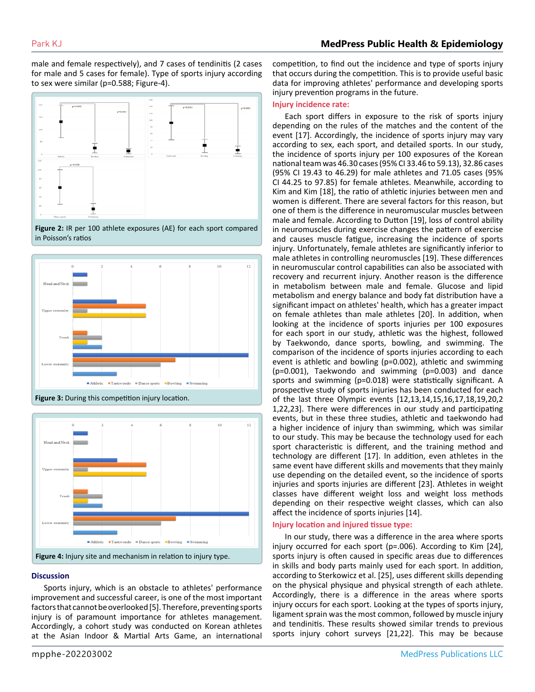male and female respectively), and 7 cases of tendinitis (2 cases for male and 5 cases for female). Type of sports injury according to sex were similar (p=0.588; Figure-4).







**Figure 3:** During this competition injury location.



#### **Discussion**

Sports injury, which is an obstacle to athletes' performance improvement and successful career, is one of the most important factors that cannot be overlooked [5]. Therefore, preventing sports injury is of paramount importance for athletes management. Accordingly, a cohort study was conducted on Korean athletes at the Asian Indoor & Martial Arts Game, an international competition, to find out the incidence and type of sports injury that occurs during the competition. This is to provide useful basic data for improving athletes' performance and developing sports injury prevention programs in the future.

#### **Injury incidence rate:**

Each sport differs in exposure to the risk of sports injury depending on the rules of the matches and the content of the event [17]. Accordingly, the incidence of sports injury may vary according to sex, each sport, and detailed sports. In our study, the incidence of sports injury per 100 exposures of the Korean national team was 46.30 cases (95% CI 33.46 to 59.13), 32.86 cases (95% CI 19.43 to 46.29) for male athletes and 71.05 cases (95% CI 44.25 to 97.85) for female athletes. Meanwhile, according to Kim and Kim [18], the ratio of athletic injuries between men and women is different. There are several factors for this reason, but one of them is the difference in neuromuscular muscles between male and female. According to Dutton [19], loss of control ability in neuromuscles during exercise changes the pattern of exercise and causes muscle fatigue, increasing the incidence of sports injury. Unfortunately, female athletes are significantly inferior to male athletes in controlling neuromuscles [19]. These differences in neuromuscular control capabilities can also be associated with recovery and recurrent injury. Another reason is the difference in metabolism between male and female. Glucose and lipid metabolism and energy balance and body fat distribution have a significant impact on athletes' health, which has a greater impact on female athletes than male athletes [20]. In addition, when looking at the incidence of sports injuries per 100 exposures for each sport in our study, athletic was the highest, followed by Taekwondo, dance sports, bowling, and swimming. The comparison of the incidence of sports injuries according to each event is athletic and bowling (p=0.002), athletic and swimming (p=0.001), Taekwondo and swimming (p=0.003) and dance sports and swimming (p=0.018) were statistically significant. A prospective study of sports injuries has been conducted for each of the last three Olympic events [12,13,14,15,16,17,18,19,20,2 1,22,23]. There were differences in our study and participating events, but in these three studies, athletic and taekwondo had a higher incidence of injury than swimming, which was similar to our study. This may be because the technology used for each sport characteristic is different, and the training method and technology are different [17]. In addition, even athletes in the same event have different skills and movements that they mainly use depending on the detailed event, so the incidence of sports injuries and sports injuries are different [23]. Athletes in weight classes have different weight loss and weight loss methods depending on their respective weight classes, which can also affect the incidence of sports injuries [14].

#### **Injury location and injured tissue type:**

In our study, there was a difference in the area where sports injury occurred for each sport (p=.006). According to Kim [24], sports injury is often caused in specific areas due to differences in skills and body parts mainly used for each sport. In addition, according to Sterkowicz et al. [25], uses different skills depending on the physical physique and physical strength of each athlete. Accordingly, there is a difference in the areas where sports injury occurs for each sport. Looking at the types of sports injury, ligament sprain was the most common, followed by muscle injury and tendinitis. These results showed similar trends to previous sports injury cohort surveys [21,22]. This may be because